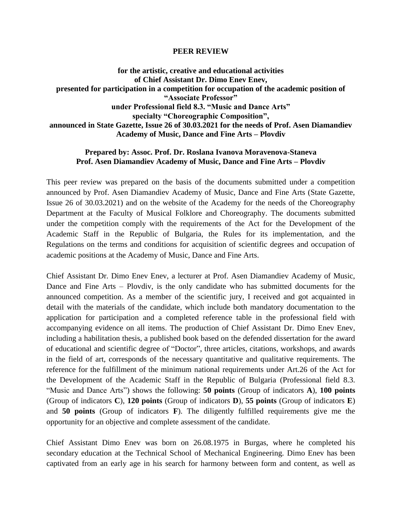## **PEER REVIEW**

**for the artistic, creative and educational activities of Chief Assistant Dr. Dimo Enev Enev, presented for participation in a competition for occupation of the academic position of "Associate Professor" under Professional field 8.3. "Music and Dance Arts" specialty "Choreographic Composition", announced in State Gazette, Issue 26 of 30.03.2021 for the needs of Prof. Asen Diamandiev Academy of Music, Dance and Fine Arts – Plovdiv**

## **Prepared by: Assoc. Prof. Dr. Roslana Ivanova Moravenova-Staneva Prof. Asen Diamandiev Academy of Music, Dance and Fine Arts – Plovdiv**

This peer review was prepared on the basis of the documents submitted under a competition announced by Prof. Asen Diamandiev Academy of Music, Dance and Fine Arts (State Gazette, Issue 26 of 30.03.2021) and on the website of the Academy for the needs of the Choreography Department at the Faculty of Musical Folklore and Choreography. The documents submitted under the competition comply with the requirements of the Act for the Development of the Academic Staff in the Republic of Bulgaria, the Rules for its implementation, and the Regulations on the terms and conditions for acquisition of scientific degrees and occupation of academic positions at the Academy of Music, Dance and Fine Arts.

Chief Assistant Dr. Dimo Enev Enev, a lecturer at Prof. Asen Diamandiev Academy of Music, Dance and Fine Arts – Plovdiv, is the only candidate who has submitted documents for the announced competition. As a member of the scientific jury, I received and got acquainted in detail with the materials of the candidate, which include both mandatory documentation to the application for participation and a completed reference table in the professional field with accompanying evidence on all items. The production of Chief Assistant Dr. Dimo Enev Enev, including a habilitation thesis, a published book based on the defended dissertation for the award of educational and scientific degree of "Doctor", three articles, citations, workshops, and awards in the field of art, corresponds of the necessary quantitative and qualitative requirements. The reference for the fulfillment of the minimum national requirements under Art.26 of the Act for the Development of the Academic Staff in the Republic of Bulgaria (Professional field 8.3. "Music and Dance Arts") shows the following: **50 points** (Group of indicators **A**), **100 points** (Group of indicators **C**), **120 points** (Group of indicators **D**), **55 points** (Group of indicators **E**) and **50 points** (Group of indicators **F**). The diligently fulfilled requirements give me the opportunity for an objective and complete assessment of the candidate.

Chief Assistant Dimo Enev was born on 26.08.1975 in Burgas, where he completed his secondary education at the Technical School of Mechanical Engineering. Dimo Enev has been captivated from an early age in his search for harmony between form and content, as well as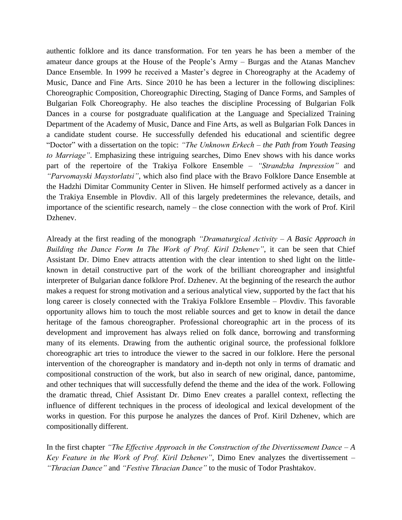authentic folklore and its dance transformation. For ten years he has been a member of the amateur dance groups at the House of the People's Army – Burgas and the Atanas Manchev Dance Ensemble. In 1999 he received a Master's degree in Choreography at the Academy of Music, Dance and Fine Arts. Since 2010 he has been a lecturer in the following disciplines: Choreographic Composition, Choreographic Directing, Staging of Dance Forms, and Samples of Bulgarian Folk Choreography. He also teaches the discipline Processing of Bulgarian Folk Dances in a course for postgraduate qualification at the Language and Specialized Training Department of the Academy of Music, Dance and Fine Arts, as well as Bulgarian Folk Dances in a candidate student course. He successfully defended his educational and scientific degree "Doctor" with a dissertation on the topic: *"The Unknown Erkech – the Path from Youth Teasing to Marriage"*. Emphasizing these intriguing searches, Dimo Enev shows with his dance works part of the repertoire of the Trakiya Folkore Ensemble – *"Strandzha Impression"* and *"Parvomayski Maystorlatsi"*, which also find place with the Bravo Folklore Dance Ensemble at the Hadzhi Dimitar Community Center in Sliven. He himself performed actively as a dancer in the Trakiya Ensemble in Plovdiv. All of this largely predetermines the relevance, details, and importance of the scientific research, namely – the close connection with the work of Prof. Kiril Dzhenev.

Already at the first reading of the monograph *"Dramaturgical Activity – A Basic Approach in Building the Dance Form In The Work of Prof. Kiril Dzhenev"*, it can be seen that Chief Assistant Dr. Dimo Enev attracts attention with the clear intention to shed light on the littleknown in detail constructive part of the work of the brilliant choreographer and insightful interpreter of Bulgarian dance folklore Prof. Dzhenev. At the beginning of the research the author makes a request for strong motivation and a serious analytical view, supported by the fact that his long career is closely connected with the Trakiya Folklore Ensemble – Plovdiv. This favorable opportunity allows him to touch the most reliable sources and get to know in detail the dance heritage of the famous choreographer. Professional choreographic art in the process of its development and improvement has always relied on folk dance, borrowing and transforming many of its elements. Drawing from the authentic original source, the professional folklore choreographic art tries to introduce the viewer to the sacred in our folklore. Here the personal intervention of the choreographer is mandatory and in-depth not only in terms of dramatic and compositional construction of the work, but also in search of new original, dance, pantomime, and other techniques that will successfully defend the theme and the idea of the work. Following the dramatic thread, Chief Assistant Dr. Dimo Enev creates a parallel context, reflecting the influence of different techniques in the process of ideological and lexical development of the works in question. For this purpose he analyzes the dances of Prof. Kiril Dzhenev, which are compositionally different.

In the first chapter *"The Effective Approach in the Construction of the Divertissement Dance – A Key Feature in the Work of Prof. Kiril Dzhenev"*, Dimo Enev analyzes the divertissement – *"Thracian Dance"* and *"Festive Thracian Dance"* to the music of Todor Prashtakov.